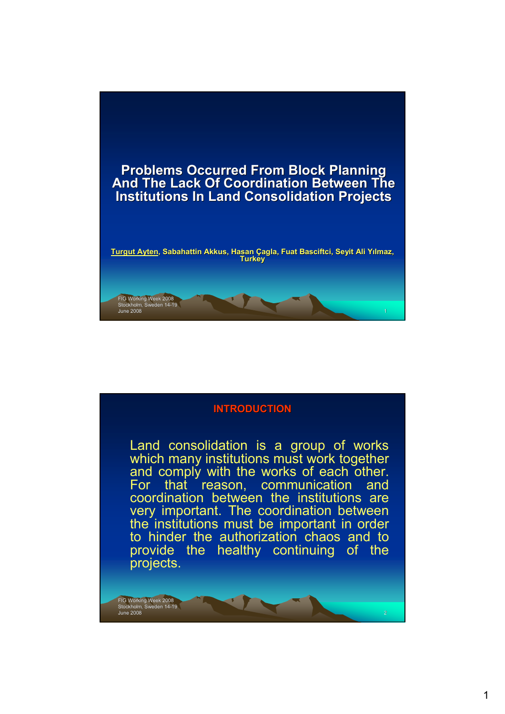



Land consolidation is a group of works which many institutions must work together and comply with the works of each other. For that reason, communication and coordination between the institutions are very important. The coordination between the institutions must be important in order to hinder the authorization chaos and to provide the healthy continuing of the projects.

FIG Working Week 2008<br>Stockholm, Sweden 14-19<br>June 2008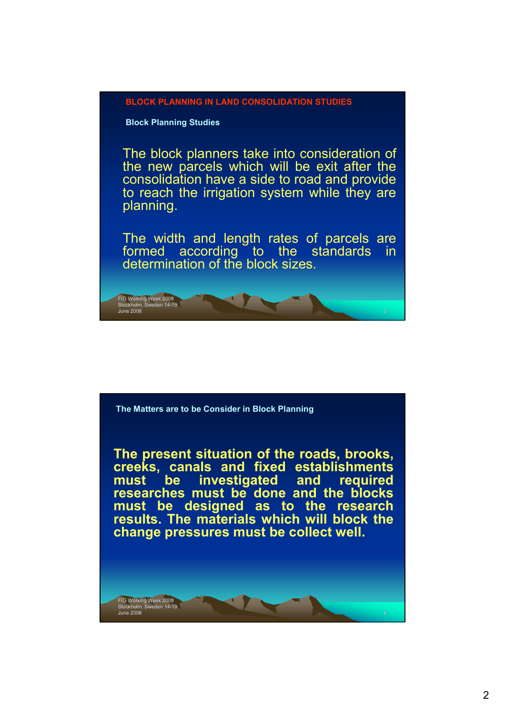

**Block Planning Studies**

FIG Working Week 2008 Stockholm, Sweden 14-19

The block planners take into consideration of the new parcels which will be exit after the consolidation have a side to road and provide to reach the irrigation system while they are planning.

The width and length rates of parcels are formed according to the standards in determination of the block sizes.

June 2008 3



**The present situation of the roads, brooks, creeks, canals and fixed establishments must be investigated and required researches must be done and the blocks must be designed as to the research results. The materials which will block the change pressures must be collect well.**

FIG Working Week 2008<br>Stockholm, Sweden 14-19<br>June 2008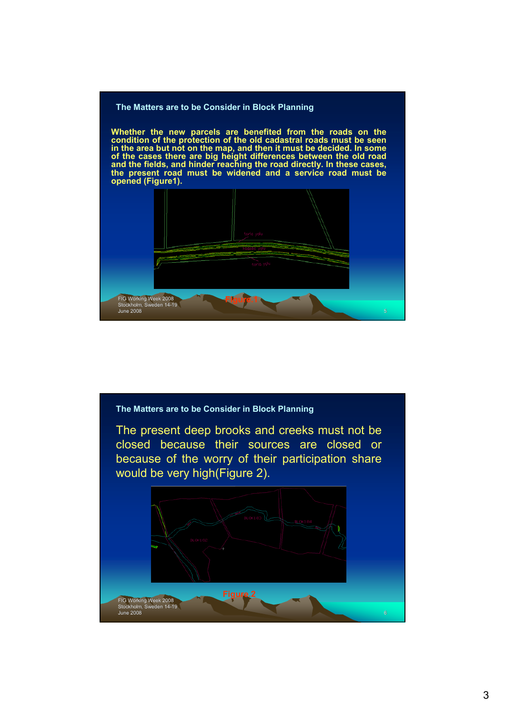

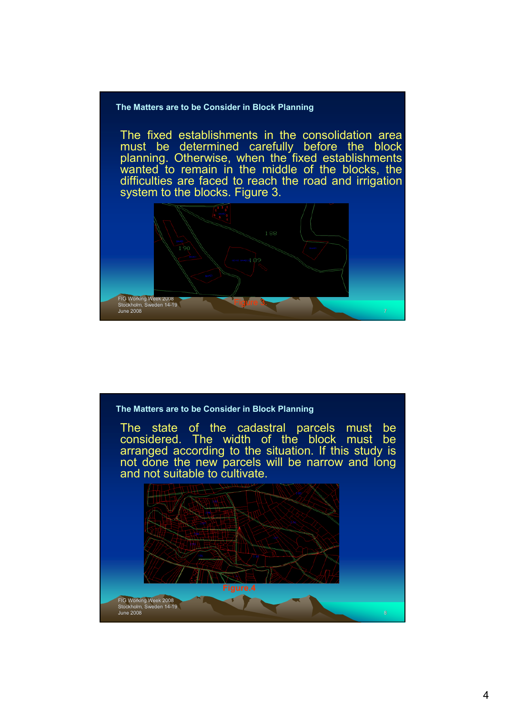## **The Matters are to be Consider in Block Planning**

The fixed establishments in the consolidation area must be determined carefully before the block planning. Otherwise, when the fixed establishments wanted to remain in the middle of the blocks, the difficulties are faced to reach the road and irrigation system to the blocks. Figure 3.



## **The Matters are to be Consider in Block Planning**

The state of the cadastral parcels must be considered. The width of the block must be arranged according to the situation. If this study is not done the new parcels will be narrow and long and not suitable to cultivate.

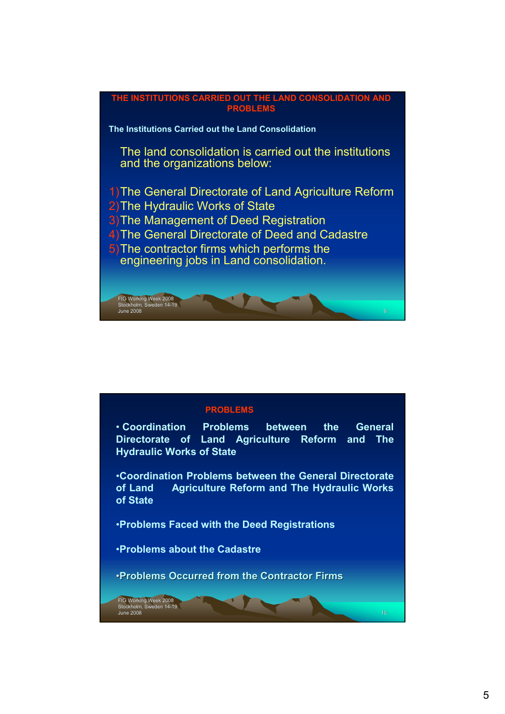

## **PROBLEMS**

• **Coordination Problems between the General Directorate of Land Agriculture Reform and The Hydraulic Works of State**

•**Coordination Problems between the General Directorate of Land Agriculture Reform and The Hydraulic Works of State**

FIG Working Week 2008<br>Stockholm, Sweden 14-19<br>June 2008 10

•**Problems Faced with the Deed Registrations**

•**Problems about the Cadastre**

•**Problems Occurred from the Contractor Firms**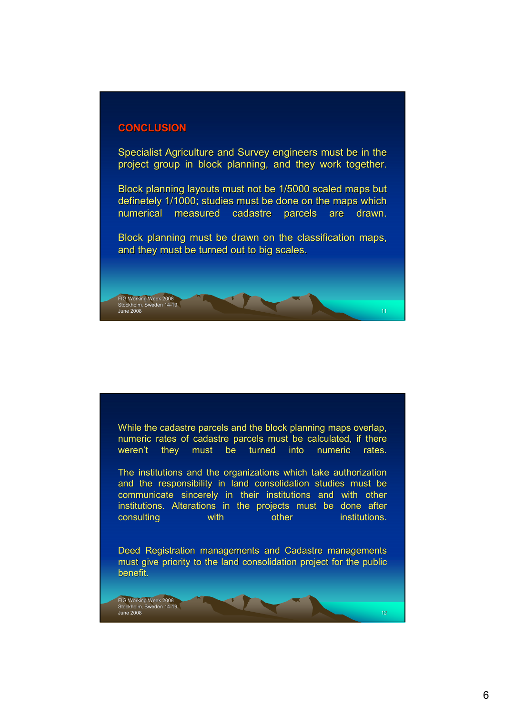## **CONCLUSION CONCLUSION**

FIG Working Week 2008 Stockholm, Sweden 14-19

Specialist Agriculture and Survey engineers must be in the project group in block planning, and they work together.

Block planning layouts must not be 1/5000 scaled maps but definetely 1/1000; studies must be done on the maps which numerical measured cadastre parcels are drawn.

Block planning must be drawn on the classification maps, and they must be turned out to big scales.

June 2008 11

While the cadastre parcels and the block planning maps overlap, numeric rates of cadastre parcels must be calculated, if there weren't they must be turned into numeric rates.

The institutions and the organizations which take authorization and the responsibility in land consolidation studies must be communicate sincerely in their institutions and with other institutions. Alterations in the projects must be done after consulting with other institutions.

Deed Registration managements and Cadastre managements must give priority to the land consolidation project for the public benefit. benefit.

FIG Working Week 2008<br>Stockholm, Sweden 14-19<br>June 2008 12